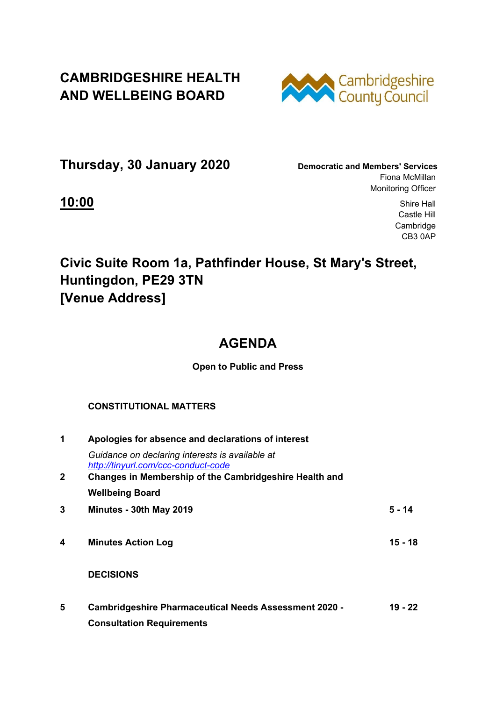## **CAMBRIDGESHIRE HEALTH AND WELLBEING BOARD**



**Thursday, 30 January 2020 Democratic and Members' Services**

Fiona McMillan Monitoring Officer

**10:00** Shire Hall Castle Hill **Cambridge** CB3 0AP

# **Civic Suite Room 1a, Pathfinder House, St Mary's Street, Huntingdon, PE29 3TN [Venue Address]**

## **AGENDA**

### **Open to Public and Press**

### **CONSTITUTIONAL MATTERS**

| 1           | Apologies for absence and declarations of interest                                               |         |
|-------------|--------------------------------------------------------------------------------------------------|---------|
|             | Guidance on declaring interests is available at<br>http://tinyurl.com/ccc-conduct-code           |         |
| $\mathbf 2$ | Changes in Membership of the Cambridgeshire Health and                                           |         |
|             | <b>Wellbeing Board</b>                                                                           |         |
| 3           | Minutes - 30th May 2019                                                                          | 5 - 14  |
| 4           | <b>Minutes Action Log</b>                                                                        | 15 - 18 |
|             | <b>DECISIONS</b>                                                                                 |         |
| 5           | <b>Cambridgeshire Pharmaceutical Needs Assessment 2020 -</b><br><b>Consultation Requirements</b> | 19 - 22 |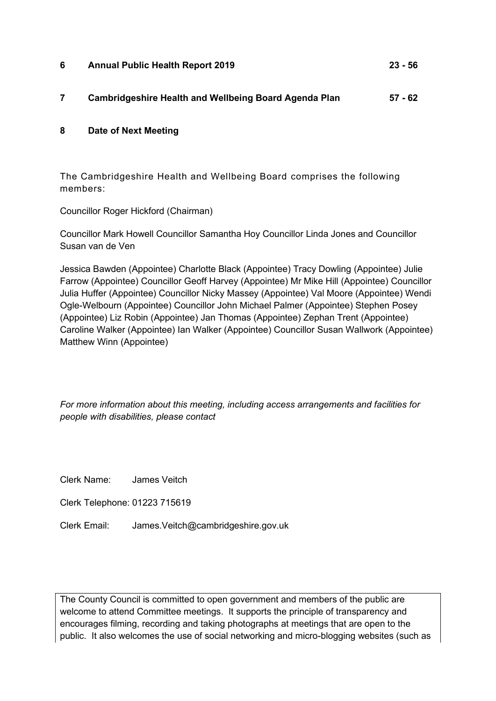- **6 Annual Public Health Report 2019 23 56**
- **7 Cambridgeshire Health and Wellbeing Board Agenda Plan 57 62**

#### **8 Date of Next Meeting**

The Cambridgeshire Health and Wellbeing Board comprises the following members:

Councillor Roger Hickford (Chairman)

Councillor Mark Howell Councillor Samantha Hoy Councillor Linda Jones and Councillor Susan van de Ven

Jessica Bawden (Appointee) Charlotte Black (Appointee) Tracy Dowling (Appointee) Julie Farrow (Appointee) Councillor Geoff Harvey (Appointee) Mr Mike Hill (Appointee) Councillor Julia Huffer (Appointee) Councillor Nicky Massey (Appointee) Val Moore (Appointee) Wendi Ogle-Welbourn (Appointee) Councillor John Michael Palmer (Appointee) Stephen Posey (Appointee) Liz Robin (Appointee) Jan Thomas (Appointee) Zephan Trent (Appointee) Caroline Walker (Appointee) Ian Walker (Appointee) Councillor Susan Wallwork (Appointee) Matthew Winn (Appointee)

*For more information about this meeting, including access arrangements and facilities for people with disabilities, please contact* 

Clerk Name: James Veitch

Clerk Telephone: 01223 715619

Clerk Email: James.Veitch@cambridgeshire.gov.uk

The County Council is committed to open government and members of the public are welcome to attend Committee meetings. It supports the principle of transparency and encourages filming, recording and taking photographs at meetings that are open to the public. It also welcomes the use of social networking and micro-blogging websites (such as